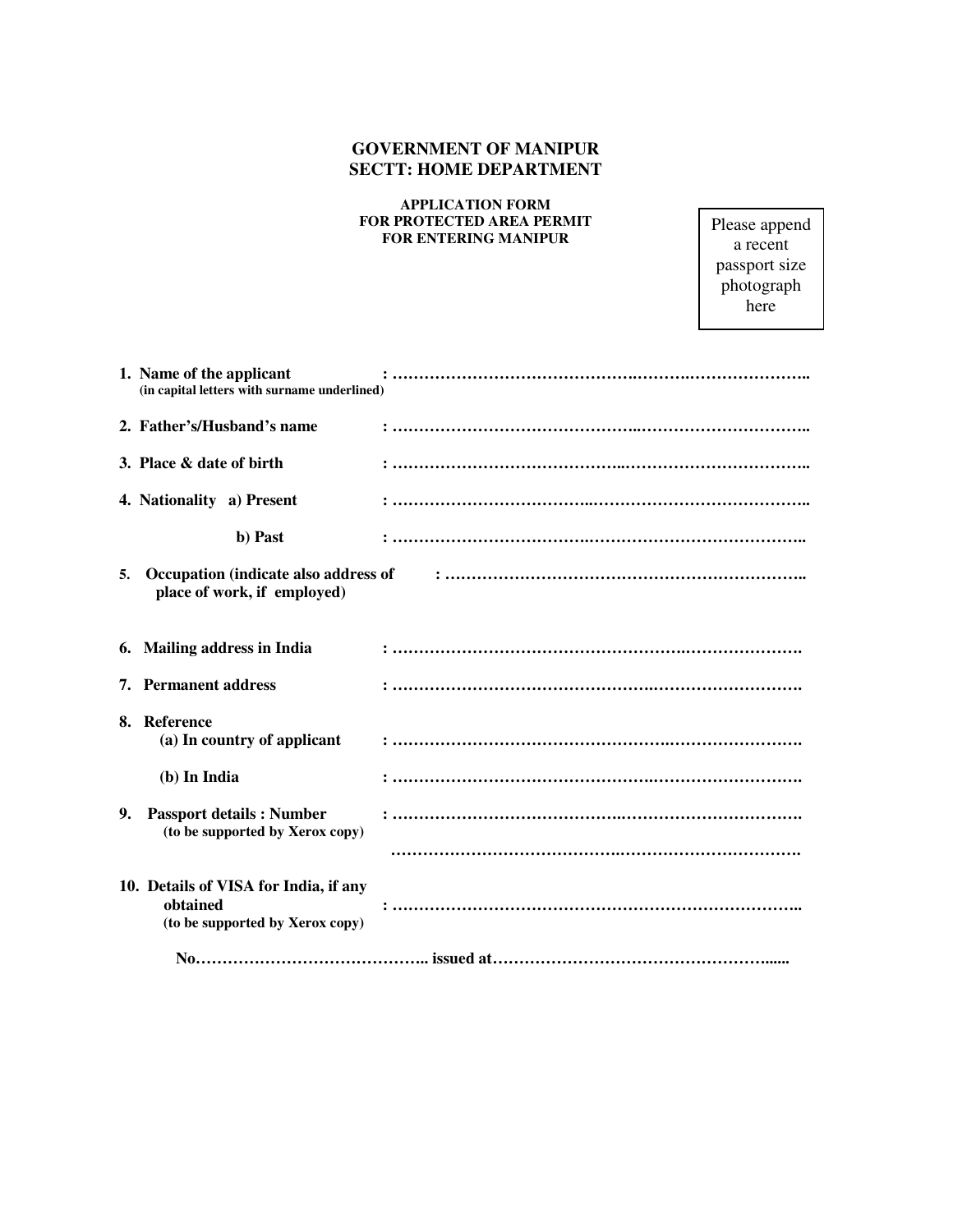## **GOVERNMENT OF MANIPUR SECTT: HOME DEPARTMENT**

## **APPLICATION FORM FOR PROTECTED AREA PERMIT FOR ENTERING MANIPUR**

Please append a recent passport size photograph here

|    | 1. Name of the applicant<br>(in capital letters with surname underlined)             |  |
|----|--------------------------------------------------------------------------------------|--|
|    | 2. Father's/Husband's name                                                           |  |
|    | 3. Place & date of birth                                                             |  |
|    | 4. Nationality a) Present                                                            |  |
|    | b) Past                                                                              |  |
| 5. | Occupation (indicate also address of<br>place of work, if employed)                  |  |
|    | 6. Mailing address in India                                                          |  |
|    | 7. Permanent address                                                                 |  |
|    | 8. Reference<br>(a) In country of applicant                                          |  |
|    | (b) In India                                                                         |  |
| 9. | <b>Passport details: Number</b><br>(to be supported by Xerox copy)                   |  |
|    | 10. Details of VISA for India, if any<br>obtained<br>(to be supported by Xerox copy) |  |
|    |                                                                                      |  |